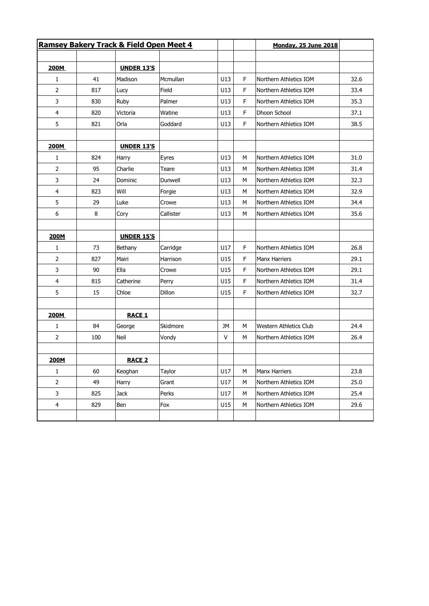| Ramsey Bakery Track & Field Open Meet 4 |     |                   |           |     |    | <b>Monday, 25 June 2018</b>   |      |  |
|-----------------------------------------|-----|-------------------|-----------|-----|----|-------------------------------|------|--|
|                                         |     |                   |           |     |    |                               |      |  |
| 200M                                    |     | <b>UNDER 13'S</b> |           |     |    |                               |      |  |
| 1                                       | 41  | Madison           | Mcmullan  | U13 | F  | Northern Athletics IOM        | 32.6 |  |
| 2                                       | 817 | Lucy              | Field     | U13 | F  | Northern Athletics IOM        | 33.4 |  |
| 3                                       | 830 | Ruby              | Palmer    | U13 | F  | Northern Athletics IOM        | 35.3 |  |
| 4                                       | 820 | Victoria          | Watine    | U13 | F  | Dhoon School                  | 37.1 |  |
| 5                                       | 821 | Orla              | Goddard   | U13 | F  | Northern Athletics IOM        | 38.5 |  |
|                                         |     |                   |           |     |    |                               |      |  |
| 200M                                    |     | <b>UNDER 13'S</b> |           |     |    |                               |      |  |
| 1                                       | 824 | Harry             | Eyres     | U13 | М  | Northern Athletics IOM        | 31.0 |  |
| $\overline{2}$                          | 95  | Charlie           | Teare     | U13 | М  | Northern Athletics IOM        | 31.4 |  |
| 3                                       | 24  | Dominic           | Dunwell   | U13 | М  | Northern Athletics IOM        | 32.3 |  |
| 4                                       | 823 | Will              | Forgie    | U13 | М  | Northern Athletics IOM        | 32.9 |  |
| 5                                       | 29  | Luke              | Crowe     | U13 | М  | Northern Athletics IOM        | 34.4 |  |
| 6                                       | 8   | Cory              | Callister | U13 | M  | Northern Athletics IOM        | 35.6 |  |
|                                         |     |                   |           |     |    |                               |      |  |
| 200M                                    |     | <b>UNDER 15'S</b> |           |     |    |                               |      |  |
| 1                                       | 73  | Bethany           | Carridge  | U17 | F. | Northern Athletics IOM        | 26.8 |  |
| $\overline{2}$                          | 827 | Mairi             | Harrison  | U15 | F  | <b>Manx Harriers</b>          | 29.1 |  |
| 3                                       | 90  | Ella              | Crowe     | U15 | F  | Northern Athletics IOM        | 29.1 |  |
| $\overline{4}$                          | 815 | Catherine         | Perry     | U15 | F. | Northern Athletics IOM        | 31.4 |  |
| 5                                       | 15  | Chloe             | Dillon    | U15 | F  | Northern Athletics IOM        | 32.7 |  |
|                                         |     |                   |           |     |    |                               |      |  |
| 200M                                    |     | <b>RACE 1</b>     |           |     |    |                               |      |  |
| $\mathbf{1}$                            | 84  | George            | Skidmore  | JM  | М  | <b>Western Athletics Club</b> | 24.4 |  |
| $\overline{2}$                          | 100 | Neil              | Vondy     | V   | М  | Northern Athletics IOM        | 26.4 |  |
|                                         |     |                   |           |     |    |                               |      |  |
| 200M                                    |     | <b>RACE 2</b>     |           |     |    |                               |      |  |
| $\mathbf{1}$                            | 60  | Keoghan           | Taylor    | U17 | М  | Manx Harriers                 | 23.8 |  |
| $\overline{2}$                          | 49  | Harry             | Grant     | U17 | М  | Northern Athletics IOM        | 25.0 |  |
| 3                                       | 825 | Jack              | Perks     | U17 | М  | Northern Athletics IOM        | 25.4 |  |
| $\overline{4}$                          | 829 | Ben               | Fox       | U15 | М  | Northern Athletics IOM        | 29.6 |  |
|                                         |     |                   |           |     |    |                               |      |  |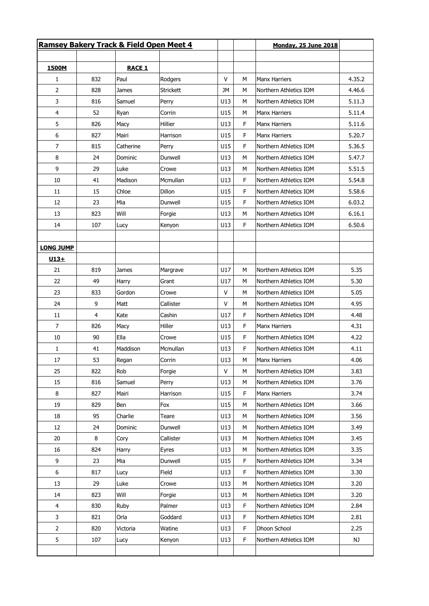| <b>Ramsey Bakery Track &amp; Field Open Meet 4</b> |                |               |                  |              |   | <b>Monday, 25 June 2018</b> |        |
|----------------------------------------------------|----------------|---------------|------------------|--------------|---|-----------------------------|--------|
| 1500M                                              |                | <b>RACE 1</b> |                  |              |   |                             |        |
| $\mathbf{1}$                                       | 832            | Paul          | Rodgers          | V            | м | <b>Manx Harriers</b>        | 4.35.2 |
|                                                    |                |               |                  |              |   |                             |        |
| $\overline{2}$                                     | 828            | James         | <b>Strickett</b> | JМ           | M | Northern Athletics IOM      | 4.46.6 |
| 3                                                  | 816            | Samuel        | Perry            | U13          | М | Northern Athletics IOM      | 5.11.3 |
| 4                                                  | 52             | Ryan          | Corrin           | U15          | M | <b>Manx Harriers</b>        | 5.11.4 |
| 5                                                  | 826            | Macy          | Hillier          | U13          | F | <b>Manx Harriers</b>        | 5.11.6 |
| 6                                                  | 827            | Mairi         | Harrison         | U15          | F | <b>Manx Harriers</b>        | 5.20.7 |
| $\overline{7}$                                     | 815            | Catherine     | Perry            | U15          | F | Northern Athletics IOM      | 5.36.5 |
| 8                                                  | 24             | Dominic       | Dunwell          | U13          | M | Northern Athletics IOM      | 5.47.7 |
| 9                                                  | 29             | Luke          | Crowe            | U13          | M | Northern Athletics IOM      | 5.51.5 |
| 10                                                 | 41             | Madison       | Mcmullan         | U13          | F | Northern Athletics IOM      | 5.54.8 |
| 11                                                 | 15             | Chloe         | <b>Dillon</b>    | U15          | F | Northern Athletics IOM      | 5.58.6 |
| 12                                                 | 23             | Mia           | Dunwell          | U15          | F | Northern Athletics IOM      | 6.03.2 |
| 13                                                 | 823            | Will          | Forgie           | U13          | M | Northern Athletics IOM      | 6.16.1 |
| 14                                                 | 107            | Lucy          | Kenyon           | U13          | F | Northern Athletics IOM      | 6.50.6 |
| <b>LONG JUMP</b>                                   |                |               |                  |              |   |                             |        |
| $U13+$                                             |                |               |                  |              |   |                             |        |
| 21                                                 | 819            | James         | Margrave         | U17          | М | Northern Athletics IOM      | 5.35   |
| 22                                                 | 49             | Harry         | Grant            | U17          | M | Northern Athletics IOM      | 5.30   |
| 23                                                 | 833            | Gordon        | Crowe            | v            | м | Northern Athletics IOM      | 5.05   |
| 24                                                 | 9              | Matt          | Callister        | v            | М | Northern Athletics IOM      | 4.95   |
| 11                                                 | $\overline{4}$ | Kate          | Cashin           | U17          | F | Northern Athletics IOM      | 4.48   |
| 7                                                  | 826            | Macy          | Hiller           | U13          | F | <b>Manx Harriers</b>        | 4.31   |
| 10                                                 | 90             | Ella          | Crowe            | U15          | F | Northern Athletics IOM      | 4.22   |
| 1                                                  | 41             | Maddison      | Mcmullan         | U13          | F | Northern Athletics IOM      | 4.11   |
| 17                                                 | 53             | Regan         | Corrin           | U13          | М | Manx Harriers               | 4.06   |
| 25                                                 | 822            | Rob           | Forgie           | $\mathsf{V}$ | M | Northern Athletics IOM      | 3.83   |
| 15                                                 | 816            | Samuel        | Perry            | U13          | М | Northern Athletics IOM      | 3.76   |
| 8                                                  | 827            | Mairi         | Harrison         | U15          | F | Manx Harriers               | 3.74   |
| 19                                                 | 829            | Ben           | Fox              | U15          | м | Northern Athletics IOM      | 3.66   |
| 18                                                 | 95             | Charlie       | Teare            | U13          | М | Northern Athletics IOM      | 3.56   |
| 12                                                 | 24             | Dominic       | Dunwell          | U13          | M | Northern Athletics IOM      | 3.49   |
| 20                                                 | 8              | Cory          | Callister        | U13          | М | Northern Athletics IOM      | 3.45   |
| 16                                                 | 824            | Harry         | Eyres            | U13          | M | Northern Athletics IOM      | 3.35   |
| 9                                                  | 23             | Mia           | Dunwell          | U15          | F | Northern Athletics IOM      | 3.34   |
|                                                    |                |               |                  |              |   |                             |        |
| 6                                                  | 817            | Lucy          | Field            | U13          | F | Northern Athletics IOM      | 3.30   |
| 13                                                 | 29             | Luke          | Crowe            | U13          | M | Northern Athletics IOM      | 3.20   |
| 14                                                 | 823            | Will          | Forgie           | U13          | М | Northern Athletics IOM      | 3.20   |
| 4                                                  | 830            | Ruby          | Palmer           | U13          | F | Northern Athletics IOM      | 2.84   |
| 3                                                  | 821            | Orla          | Goddard          | U13          | F | Northern Athletics IOM      | 2.81   |
| $\overline{2}$                                     | 820            | Victoria      | Watine           | U13          | F | Dhoon School                | 2.25   |
| 5                                                  | 107            | Lucy          | Kenyon           | U13          | F | Northern Athletics IOM      | NJ     |